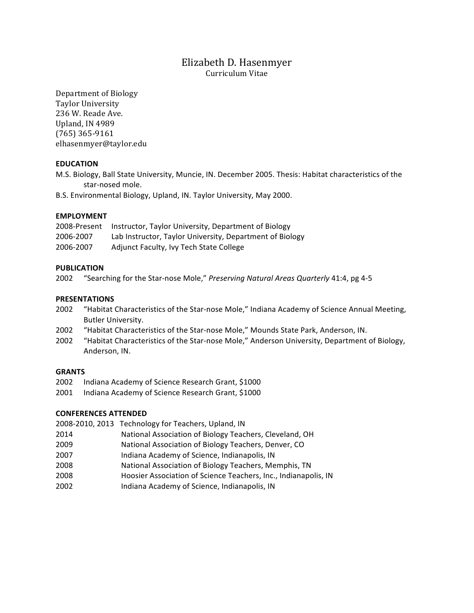# Elizabeth D. Hasenmyer Curriculum Vitae

Department of Biology Taylor University 236 W. Reade Ave. Upland, IN 4989  $(765)$  365-9161 elhasenmyer@taylor.edu

# **EDUCATION**

M.S. Biology, Ball State University, Muncie, IN. December 2005. Thesis: Habitat characteristics of the star-nosed mole.

B.S. Environmental Biology, Upland, IN. Taylor University, May 2000.

## **EMPLOYMENT**

|           | 2008-Present Instructor, Taylor University, Department of Biology |
|-----------|-------------------------------------------------------------------|
| 2006-2007 | Lab Instructor, Taylor University, Department of Biology          |
| 2006-2007 | Adjunct Faculty, Ivy Tech State College                           |

## **PUBLICATION**

2002 "Searching for the Star-nose Mole," Preserving Natural Areas Quarterly 41:4, pg 4-5

## **PRESENTATIONS**

- 2002 "Habitat Characteristics of the Star-nose Mole," Indiana Academy of Science Annual Meeting, Butler University.
- 2002 "Habitat Characteristics of the Star-nose Mole," Mounds State Park, Anderson, IN.
- 2002 "Habitat Characteristics of the Star-nose Mole," Anderson University, Department of Biology, Anderson, IN.

#### **GRANTS**

- 2002 Indiana Academy of Science Research Grant, \$1000
- 2001 Indiana Academy of Science Research Grant, \$1000

# **CONFERENCES ATTENDED**

- 2008-2010, 2013 Technology for Teachers, Upland, IN
- 2014 National Association of Biology Teachers, Cleveland, OH
- 2009 National Association of Biology Teachers, Denver, CO
- 2007! !!! Indiana!Academy!of!Science,!Indianapolis,!IN
- 2008 National Association of Biology Teachers, Memphis, TN
- 2008! !!!! Hoosier!Association!of!Science!Teachers,!Inc.,!Indianapolis,!IN
- 2002! !! !!Indiana!Academy of!Science,!Indianapolis,!IN